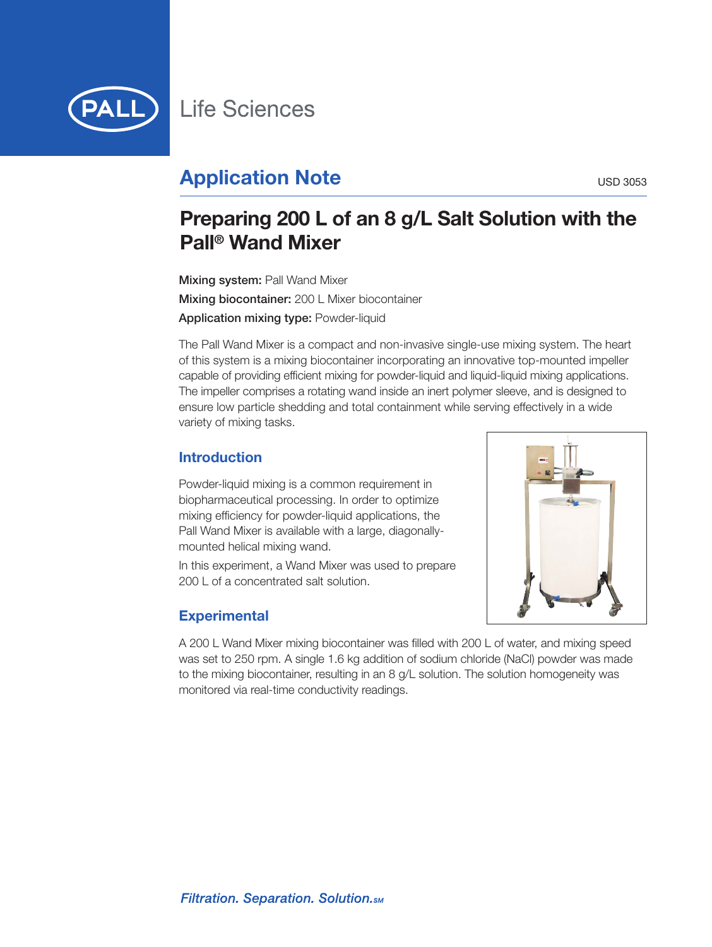

# **Application Note** USD 3053

# **Preparing 200 L of an 8 g/L Salt Solution with the Pall ® Wand Mixer**

**Mixing system:** Pall Wand Mixer **Mixing biocontainer:** 200 L Mixer biocontainer **Application mixing type:** Powder-liquid

The Pall Wand Mixer is a compact and non-invasive single-use mixing system. The heart of this system is a mixing biocontainer incorporating an innovative top-mounted impeller capable of providing efficient mixing for powder-liquid and liquid-liquid mixing applications. The impeller comprises a rotating wand inside an inert polymer sleeve, and is designed to ensure low particle shedding and total containment while serving effectively in a wide variety of mixing tasks.

### **Introduction**

Powder-liquid mixing is a common requirement in biopharmaceutical processing. In order to optimize mixing efficiency for powder-liquid applications, the Pall Wand Mixer is available with a large, diagonallymounted helical mixing wand.

In this experiment, a Wand Mixer was used to prepare 200 L of a concentrated salt solution.



## **Experimental**

A 200 L Wand Mixer mixing biocontainer was filled with 200 L of water, and mixing speed was set to 250 rpm. A single 1.6 kg addition of sodium chloride (NaCl) powder was made to the mixing biocontainer, resulting in an 8 g/L solution. The solution homogeneity was monitored via real-time conductivity readings.